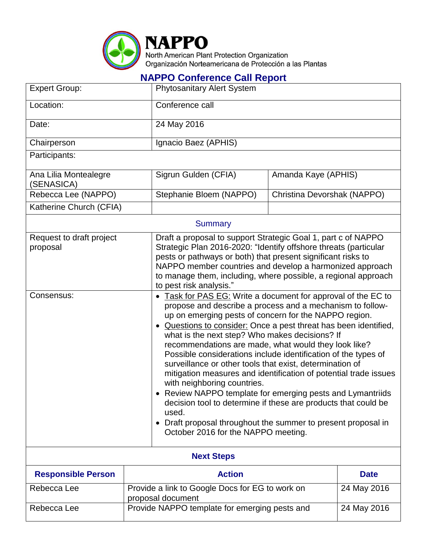

## **NAPPO Conference Call Report**

| <b>Expert Group:</b>                 | <b>Phytosanitary Alert System</b>                                                                                                                                                                                                                                                                                                                                                                                                                                                                                                                                                                                                                                                                                                                                                                                                                              |                                                                                                                                                                                                                                                                                                                                 |             |  |
|--------------------------------------|----------------------------------------------------------------------------------------------------------------------------------------------------------------------------------------------------------------------------------------------------------------------------------------------------------------------------------------------------------------------------------------------------------------------------------------------------------------------------------------------------------------------------------------------------------------------------------------------------------------------------------------------------------------------------------------------------------------------------------------------------------------------------------------------------------------------------------------------------------------|---------------------------------------------------------------------------------------------------------------------------------------------------------------------------------------------------------------------------------------------------------------------------------------------------------------------------------|-------------|--|
| Location:                            | Conference call                                                                                                                                                                                                                                                                                                                                                                                                                                                                                                                                                                                                                                                                                                                                                                                                                                                |                                                                                                                                                                                                                                                                                                                                 |             |  |
| Date:                                | 24 May 2016                                                                                                                                                                                                                                                                                                                                                                                                                                                                                                                                                                                                                                                                                                                                                                                                                                                    |                                                                                                                                                                                                                                                                                                                                 |             |  |
| Chairperson                          | Ignacio Baez (APHIS)                                                                                                                                                                                                                                                                                                                                                                                                                                                                                                                                                                                                                                                                                                                                                                                                                                           |                                                                                                                                                                                                                                                                                                                                 |             |  |
| Participants:                        |                                                                                                                                                                                                                                                                                                                                                                                                                                                                                                                                                                                                                                                                                                                                                                                                                                                                |                                                                                                                                                                                                                                                                                                                                 |             |  |
| Ana Lilia Montealegre<br>(SENASICA)  | Sigrun Gulden (CFIA)                                                                                                                                                                                                                                                                                                                                                                                                                                                                                                                                                                                                                                                                                                                                                                                                                                           | Amanda Kaye (APHIS)                                                                                                                                                                                                                                                                                                             |             |  |
| Rebecca Lee (NAPPO)                  | Stephanie Bloem (NAPPO)                                                                                                                                                                                                                                                                                                                                                                                                                                                                                                                                                                                                                                                                                                                                                                                                                                        | Christina Devorshak (NAPPO)                                                                                                                                                                                                                                                                                                     |             |  |
| Katherine Church (CFIA)              |                                                                                                                                                                                                                                                                                                                                                                                                                                                                                                                                                                                                                                                                                                                                                                                                                                                                |                                                                                                                                                                                                                                                                                                                                 |             |  |
| <b>Summary</b>                       |                                                                                                                                                                                                                                                                                                                                                                                                                                                                                                                                                                                                                                                                                                                                                                                                                                                                |                                                                                                                                                                                                                                                                                                                                 |             |  |
| Request to draft project<br>proposal | to pest risk analysis."                                                                                                                                                                                                                                                                                                                                                                                                                                                                                                                                                                                                                                                                                                                                                                                                                                        | Draft a proposal to support Strategic Goal 1, part c of NAPPO<br>Strategic Plan 2016-2020: "Identify offshore threats (particular<br>pests or pathways or both) that present significant risks to<br>NAPPO member countries and develop a harmonized approach<br>to manage them, including, where possible, a regional approach |             |  |
| Consensus:                           | Task for PAS EG: Write a document for approval of the EC to<br>$\bullet$<br>propose and describe a process and a mechanism to follow-<br>up on emerging pests of concern for the NAPPO region.<br>• Questions to consider: Once a pest threat has been identified,<br>what is the next step? Who makes decisions? If<br>recommendations are made, what would they look like?<br>Possible considerations include identification of the types of<br>surveillance or other tools that exist, determination of<br>mitigation measures and identification of potential trade issues<br>with neighboring countries.<br>• Review NAPPO template for emerging pests and Lymantriids<br>decision tool to determine if these are products that could be<br>used.<br>• Draft proposal throughout the summer to present proposal in<br>October 2016 for the NAPPO meeting. |                                                                                                                                                                                                                                                                                                                                 |             |  |
| <b>Next Steps</b>                    |                                                                                                                                                                                                                                                                                                                                                                                                                                                                                                                                                                                                                                                                                                                                                                                                                                                                |                                                                                                                                                                                                                                                                                                                                 |             |  |
| <b>Responsible Person</b>            | <b>Action</b>                                                                                                                                                                                                                                                                                                                                                                                                                                                                                                                                                                                                                                                                                                                                                                                                                                                  |                                                                                                                                                                                                                                                                                                                                 | <b>Date</b> |  |
| Rebecca Lee                          | Provide a link to Google Docs for EG to work on<br>proposal document                                                                                                                                                                                                                                                                                                                                                                                                                                                                                                                                                                                                                                                                                                                                                                                           |                                                                                                                                                                                                                                                                                                                                 | 24 May 2016 |  |
| Rebecca Lee                          | Provide NAPPO template for emerging pests and                                                                                                                                                                                                                                                                                                                                                                                                                                                                                                                                                                                                                                                                                                                                                                                                                  |                                                                                                                                                                                                                                                                                                                                 | 24 May 2016 |  |